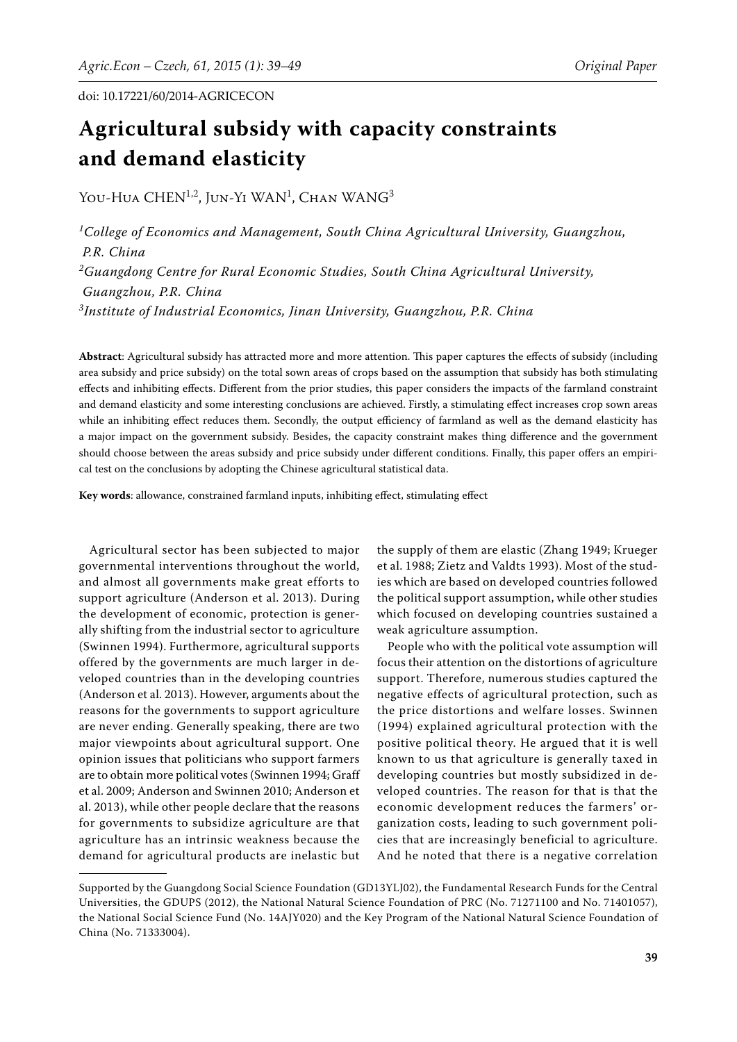# **Agricultural subsidy with capacity constraints and demand elasticity**

You-Hua CHEN<sup>1,2</sup>, Jun-Yi WAN<sup>1</sup>, Chan WANG<sup>3</sup>

*1 College of Economics and Management, South China Agricultural University, Guangzhou, P.R. China 2 Guangdong Centre for Rural Economic Studies, South China Agricultural University, Guangzhou, P.R. China 3 Institute of Industrial Economics, Jinan University, Guangzhou, P.R. China*

Abstract: Agricultural subsidy has attracted more and more attention. This paper captures the effects of subsidy (including area subsidy and price subsidy) on the total sown areas of crops based on the assumption that subsidy has both stimulating effects and inhibiting effects. Different from the prior studies, this paper considers the impacts of the farmland constraint and demand elasticity and some interesting conclusions are achieved. Firstly, a stimulating effect increases crop sown areas while an inhibiting effect reduces them. Secondly, the output efficiency of farmland as well as the demand elasticity has a major impact on the government subsidy. Besides, the capacity constraint makes thing difference and the government should choose between the areas subsidy and price subsidy under different conditions. Finally, this paper offers an empirical test on the conclusions by adopting the Chinese agricultural statistical data.

Key words: allowance, constrained farmland inputs, inhibiting effect, stimulating effect

Agricultural sector has been subjected to major governmental interventions throughout the world, and almost all governments make great efforts to support agriculture (Anderson et al. 2013). During the development of economic, protection is generally shifting from the industrial sector to agriculture (Swinnen 1994). Furthermore, agricultural supports offered by the governments are much larger in developed countries than in the developing countries (Anderson et al. 2013). However, arguments about the reasons for the governments to support agriculture are never ending. Generally speaking, there are two major viewpoints about agricultural support. One opinion issues that politicians who support farmers are to obtain more political votes (Swinnen 1994; Graff et al. 2009; Anderson and Swinnen 2010; Anderson et al. 2013), while other people declare that the reasons for governments to subsidize agriculture are that agriculture has an intrinsic weakness because the demand for agricultural products are inelastic but

the supply of them are elastic (Zhang 1949; Krueger et al. 1988; Zietz and Valdts 1993). Most of the studies which are based on developed countries followed the political support assumption, while other studies which focused on developing countries sustained a weak agriculture assumption.

People who with the political vote assumption will focus their attention on the distortions of agriculture support. Therefore, numerous studies captured the negative effects of agricultural protection, such as the price distortions and welfare losses. Swinnen (1994) explained agricultural protection with the positive political theory. He argued that it is well known to us that agriculture is generally taxed in developing countries but mostly subsidized in developed countries. The reason for that is that the economic development reduces the farmers' organization costs, leading to such government policies that are increasingly beneficial to agriculture. And he noted that there is a negative correlation

Supported by the Guangdong Social Science Foundation (GD13YLJ02), the Fundamental Research Funds for the Central Universities, the GDUPS (2012), the National Natural Science Foundation of PRC (No. 71271100 and No. 71401057), the National Social Science Fund (No. 14AJY020) and the Key Program of the National Natural Science Foundation of China (No. 71333004).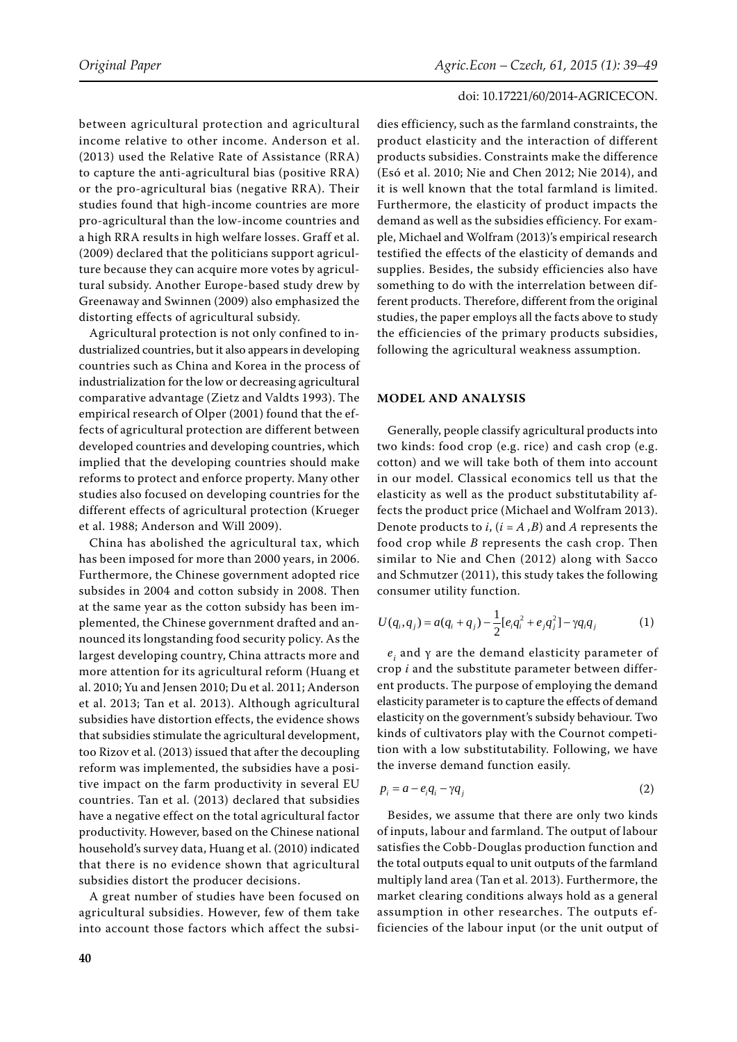between agricultural protection and agricultural income relative to other income. Anderson et al. (2013) used the Relative Rate of Assistance (RRA) to capture the anti-agricultural bias (positive RRA) or the pro-agricultural bias (negative RRA). Their studies found that high-income countries are more pro-agricultural than the low-income countries and a high RRA results in high welfare losses. Graff et al. (2009) declared that the politicians support agriculture because they can acquire more votes by agricultural subsidy. Another Europe-based study drew by Greenaway and Swinnen (2009) also emphasized the distorting effects of agricultural subsidy.

Agricultural protection is not only confined to industrialized countries, but it also appears in developing countries such as China and Korea in the process of industrialization for the low or decreasing agricultural comparative advantage (Zietz and Valdts 1993). The empirical research of Olper (2001) found that the effects of agricultural protection are different between developed countries and developing countries, which implied that the developing countries should make reforms to protect and enforce property. Many other studies also focused on developing countries for the different effects of agricultural protection (Krueger et al. 1988; Anderson and Will 2009).

China has abolished the agricultural tax, which has been imposed for more than 2000 years, in 2006. Furthermore, the Chinese government adopted rice subsides in 2004 and cotton subsidy in 2008. Then at the same year as the cotton subsidy has been implemented, the Chinese government drafted and announced its longstanding food security policy. As the largest developing country, China attracts more and more attention for its agricultural reform (Huang et al. 2010; Yu and Jensen 2010; Du et al. 2011; Anderson et al. 2013; Tan et al. 2013). Although agricultural subsidies have distortion effects, the evidence shows that subsidies stimulate the agricultural development, too Rizov et al. (2013) issued that after the decoupling reform was implemented, the subsidies have a positive impact on the farm productivity in several EU countries. Tan et al. (2013) declared that subsidies have a negative effect on the total agricultural factor productivity. However, based on the Chinese national household's survey data, Huang et al. (2010) indicated that there is no evidence shown that agricultural subsidies distort the producer decisions.

A great number of studies have been focused on agricultural subsidies. However, few of them take into account those factors which affect the subsi-

dies efficiency, such as the farmland constraints, the product elasticity and the interaction of different products subsidies. Constraints make the difference (Esó et al. 2010; Nie and Chen 2012; Nie 2014), and it is well known that the total farmland is limited. Furthermore, the elasticity of product impacts the demand as well as the subsidies efficiency. For example, Michael and Wolfram (2013)'s empirical research testified the effects of the elasticity of demands and supplies. Besides, the subsidy efficiencies also have something to do with the interrelation between different products. Therefore, different from the original studies, the paper employs all the facts above to study the efficiencies of the primary products subsidies, following the agricultural weakness assumption.

### **MODEL AND ANALYSIS**

Generally, people classify agricultural products into two kinds: food crop (e.g. rice) and cash crop (e.g. cotton) and we will take both of them into account in our model. Classical economics tell us that the elasticity as well as the product substitutability affects the product price (Michael and Wolfram 2013). Denote products to *i*, (*i* = *A ,B*) and *A* represents the food crop while *B* represents the cash crop. Then similar to Nie and Chen (2012) along with Sacco and Schmutzer (2011), this study takes the following consumer utility function.

$$
U(q_i, q_j) = a(q_i + q_j) - \frac{1}{2} [e_i q_i^2 + e_j q_j^2] - \gamma q_i q_j \tag{1}
$$

 $e^{\phantom{\dagger}}_i$  and γ are the demand elasticity parameter of crop *i* and the substitute parameter between different products. The purpose of employing the demand elasticity parameter is to capture the effects of demand elasticity on the government's subsidy behaviour. Two kinds of cultivators play with the Cournot competition with a low substitutability. Following, we have the inverse demand function easily.

$$
p_i = a - e_i q_i - \gamma q_i \tag{2}
$$

Besides, we assume that there are only two kinds of inputs, labour and farmland. The output of labour satisfies the Cobb-Douglas production function and the total outputs equal to unit outputs of the farmland multiply land area (Tan et al. 2013). Furthermore, the market clearing conditions always hold as a general assumption in other researches. The outputs efficiencies of the labour input (or the unit output of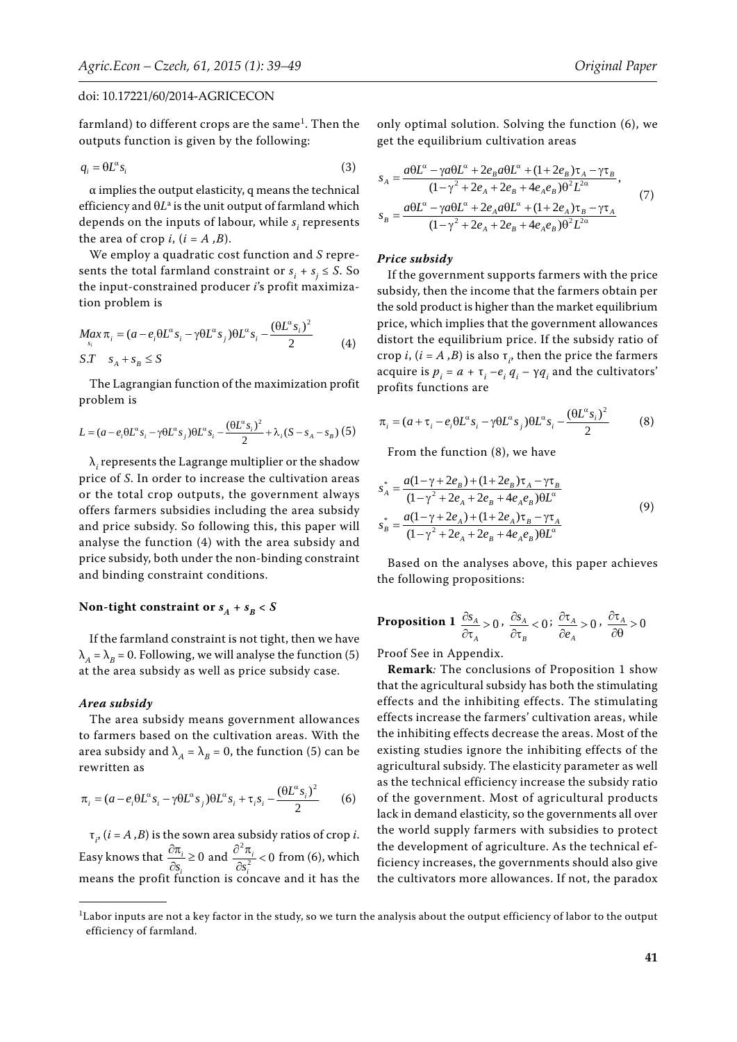farmland) to different crops are the same $^{\rm l}$ . Then the outputs function is given by the following:

$$
q_i = \Theta L^{\alpha} s_i \tag{3}
$$

 $\alpha$  implies the output elasticity, q means the technical efficiency and  $\theta L^{\rm a}$  is the unit output of farmland which depends on the inputs of labour, while  $s^{\vphantom{\dagger}}_i$  represents the area of crop  $i$ ,  $(i = A, B)$ .

We employ a quadratic cost function and *S* represents the total farmland constraint or  $s_i + s_j \leq S$ . So the input-constrained producer *i*'s profit maximization problem is

$$
Max_{s_i} \pi_i = (a - e_i \theta L^{\alpha} s_i - \gamma \theta L^{\alpha} s_j) \theta L^{\alpha} s_i - \frac{(\theta L^{\alpha} s_i)^2}{2}
$$
  
 
$$
S.T \quad s_A + s_B \le S
$$
 (4)

The Lagrangian function of the maximization profit problem is

$$
L = (a - e_i \Theta L^{\alpha} s_i - \gamma \Theta L^{\alpha} s_j) \Theta L^{\alpha} s_i - \frac{(\Theta L^{\alpha} s_i)^2}{2} + \lambda_i (S - s_A - s_B) (5)
$$

 $\lambda_i$  represents the Lagrange multiplier or the shadow price of *S*. In order to increase the cultivation areas or the total crop outputs, the government always offers farmers subsidies including the area subsidy and price subsidy. So following this, this paper will analyse the function (4) with the area subsidy and price subsidy, both under the non-binding constraint and binding constraint conditions.

# Non-tight constraint or  $s_A + s_B < S$

If the farmland constraint is not tight, then we have  $\lambda_A = \lambda_B = 0$ . Following, we will analyse the function (5) at the area subsidy as well as price subsidy case.

## *Area subsidy*

The area subsidy means government allowances to farmers based on the cultivation areas. With the area subsidy and  $\lambda_A = \lambda_B = 0$ , the function (5) can be rewritten as

$$
\pi_i = (a - e_i \theta L^{\alpha} s_i - \gamma \theta L^{\alpha} s_j) \theta L^{\alpha} s_i + \tau_i s_i - \frac{(\theta L^{\alpha} s_i)^2}{2} \tag{6}
$$

 $\tau_{i'}$  (*i* = *A*,*B*) is the sown area subsidy ratios of crop *i*. Easy knows that  $\frac{\partial n_i}{\partial s_i} \ge 0$  $\partial \pi$ *i i*  $\frac{\pi_i}{s_i} \ge 0$  and  $\frac{\partial^2 \pi_i}{\partial s_i^2} < 0$  $\partial^2 \pi$ *i i*  $\frac{n_i}{s_i^2}$  < 0 from (6), which means the profit function is concave and it has the only optimal solution. Solving the function (6), we get the equilibrium cultivation areas

$$
s_A = \frac{a\theta L^{\alpha} - \gamma a\theta L^{\alpha} + 2e_B a\theta L^{\alpha} + (1 + 2e_B)\tau_A - \gamma \tau_B}{(1 - \gamma^2 + 2e_A + 2e_B + 4e_A e_B)\theta^2 L^{2\alpha}},
$$
  
\n
$$
s_B = \frac{a\theta L^{\alpha} - \gamma a\theta L^{\alpha} + 2e_A a\theta L^{\alpha} + (1 + 2e_A)\tau_B - \gamma \tau_A}{(1 - \gamma^2 + 2e_A + 2e_B + 4e_A e_B)\theta^2 L^{2\alpha}}
$$
\n(7)

#### *Price subsidy*

If the government supports farmers with the price subsidy, then the income that the farmers obtain per the sold product is higher than the market equilibrium price, which implies that the government allowances distort the equilibrium price. If the subsidy ratio of crop *i*,  $(i = A, B)$  is also  $\tau_i$ , then the price the farmers acquire is  $p_i = a + \tau_i - e_i q_i - \gamma q_i$  and the cultivators' profits functions are

$$
\pi_i = (a + \tau_i - e_i \theta L^{\alpha} s_i - \gamma \theta L^{\alpha} s_j) \theta L^{\alpha} s_i - \frac{(\theta L^{\alpha} s_i)^2}{2}
$$
 (8)

From the function (8), we have

$$
s_A^* = \frac{a(1 - \gamma + 2e_B) + (1 + 2e_B)\tau_A - \gamma\tau_B}{(1 - \gamma^2 + 2e_A + 2e_B + 4e_Ae_B)\theta L^{\alpha}}
$$
  
\n
$$
s_B^* = \frac{a(1 - \gamma + 2e_A) + (1 + 2e_A)\tau_B - \gamma\tau_A}{(1 - \gamma^2 + 2e_A + 2e_B + 4e_Ae_B)\theta L^{\alpha}}
$$
\n(9)

Based on the analyses above, this paper achieves the following propositions:

**Proposition 1** 
$$
\frac{\partial s_A}{\partial \tau_A} > 0
$$
,  $\frac{\partial s_A}{\partial \tau_B} < 0$ ;  $\frac{\partial \tau_A}{\partial e_A} > 0$ ,  $\frac{\partial \tau_A}{\partial \theta} > 0$ 

Proof See in Appendix.

**Remark***:* The conclusions of Proposition 1 show that the agricultural subsidy has both the stimulating effects and the inhibiting effects. The stimulating effects increase the farmers' cultivation areas, while the inhibiting effects decrease the areas. Most of the existing studies ignore the inhibiting effects of the agricultural subsidy. The elasticity parameter as well as the technical efficiency increase the subsidy ratio of the government. Most of agricultural products lack in demand elasticity, so the governments all over the world supply farmers with subsidies to protect the development of agriculture. As the technical efficiency increases, the governments should also give the cultivators more allowances. If not, the paradox

 ${}^{1}$ Labor inputs are not a key factor in the study, so we turn the analysis about the output efficiency of labor to the output efficiency of farmland.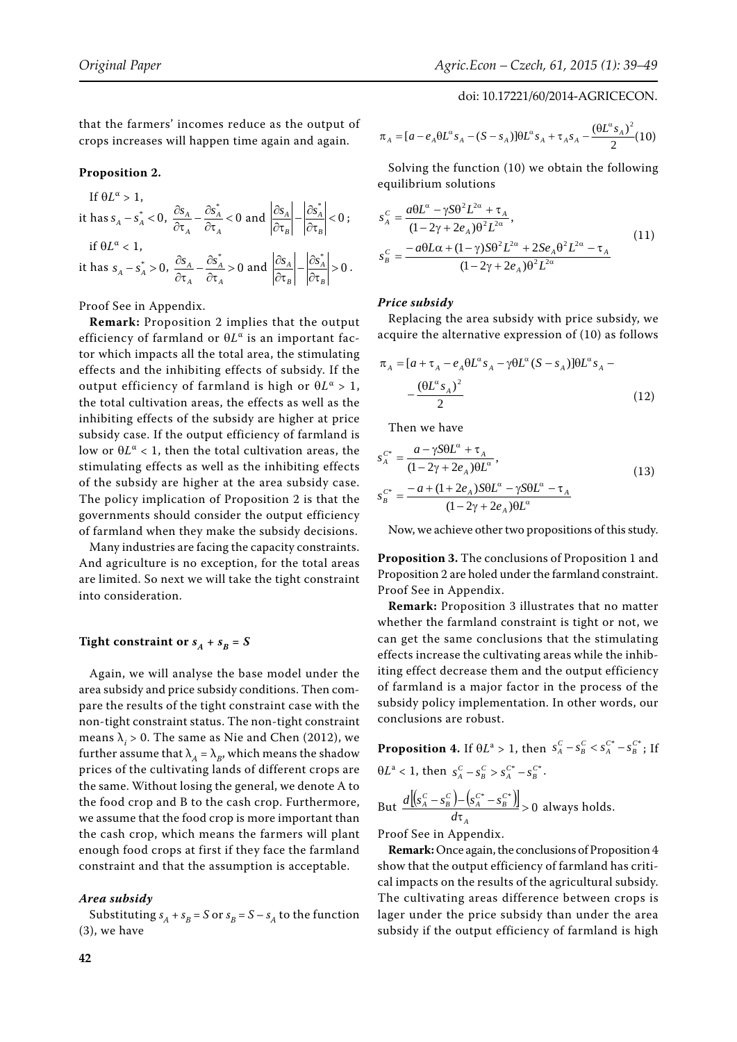that the farmers' incomes reduce as the output of crops increases will happen time again and again.

## **Proposition 2.**

If  $\theta L^{\alpha} > 1$ , it has  $s_A - s_A^* < 0$ ,  $\frac{\partial s_A}{\partial \tau_A} - \frac{\partial s_A^*}{\partial \tau_A} < 0$ *A A A*  $\frac{S_A}{\tau_A} - \frac{\partial s_A^*}{\partial \tau_A} < 0$  and  $\left| \frac{\partial s_A}{\partial \tau_B} \right| - \left| \frac{\partial s_A^*}{\partial \tau_B} \right| < 0$ *B A B*  $\left|\frac{\partial s_A}{\partial s_A}\right| - \left|\frac{\partial s_A^*}{\partial s_A}\right| < 0$ ; if  $\theta L^{\alpha} < 1$ , it has  $s_A - s_A^* > 0$ ,  $\frac{\partial s_A}{\partial \tau_A} - \frac{\partial s_A^*}{\partial \tau_A} > 0$ *A A A*  $\frac{S_A}{\tau_A} - \frac{\partial s_A^*}{\partial \tau_A} > 0$  and  $\left| \frac{\partial s_A}{\partial \tau_B} \right| - \left| \frac{\partial s_A^*}{\partial \tau_B} \right| > 0$ *B A B*  $\frac{|S_A|}{2} - \left| \frac{\partial s_A^*}{\partial s} \right| > 0$ .

Proof See in Appendix.

**Remark:** Proposition 2 implies that the output efficiency of farmland or *L*α is an important factor which impacts all the total area, the stimulating effects and the inhibiting effects of subsidy. If the output efficiency of farmland is high or *L*α > 1, the total cultivation areas, the effects as well as the inhibiting effects of the subsidy are higher at price subsidy case. If the output efficiency of farmland is low or  $\theta L^{\alpha}$  < 1, then the total cultivation areas, the stimulating effects as well as the inhibiting effects of the subsidy are higher at the area subsidy case. The policy implication of Proposition 2 is that the governments should consider the output efficiency of farmland when they make the subsidy decisions.

Many industries are facing the capacity constraints. And agriculture is no exception, for the total areas are limited. So next we will take the tight constraint into consideration.

# **Tight constraint or**  $s_A + s_B = S$

Again, we will analyse the base model under the area subsidy and price subsidy conditions. Then compare the results of the tight constraint case with the non-tight constraint status. The non-tight constraint means  $\lambda_i > 0$ . The same as Nie and Chen (2012), we further assume that  $\lambda_A = \lambda_B$ , which means the shadow prices of the cultivating lands of different crops are the same. Without losing the general, we denote A to the food crop and B to the cash crop. Furthermore, we assume that the food crop is more important than the cash crop, which means the farmers will plant enough food crops at first if they face the farmland constraint and that the assumption is acceptable.

## *Area subsidy*

Substituting  $s_A + s_B = S$  or  $s_B = S - s_A$  to the function (3), we have

doi: 10.17221/60/2014-AGRICECON.

$$
\pi_{A} = [a - e_{A} \Theta L^{\alpha} s_{A} - (S - s_{A})] \Theta L^{\alpha} s_{A} + \tau_{A} s_{A} - \frac{(\Theta L^{\alpha} s_{A})^{2}}{2} (10)
$$

Solving the function (10) we obtain the following equilibrium solutions

$$
s_A^C = \frac{a\theta L^\alpha - \gamma S\theta^2 L^{2\alpha} + \tau_A}{(1 - 2\gamma + 2e_A)\theta^2 L^{2\alpha}},
$$
  
\n
$$
s_B^C = \frac{-a\theta L\alpha + (1 - \gamma)S\theta^2 L^{2\alpha} + 2Se_A\theta^2 L^{2\alpha} - \tau_A}{(1 - 2\gamma + 2e_A)\theta^2 L^{2\alpha}}
$$
\n(11)

### *Price subsidy*

Replacing the area subsidy with price subsidy, we acquire the alternative expression of (10) as follows

$$
\pi_A = [a + \tau_A - e_A \theta L^{\alpha} s_A - \gamma \theta L^{\alpha} (S - s_A)] \theta L^{\alpha} s_A -
$$

$$
- \frac{(\theta L^{\alpha} s_A)^2}{2} \tag{12}
$$

Then we have

$$
s_A^{C^*} = \frac{a - \gamma \mathcal{S} \theta L^{\alpha} + \tau_A}{(1 - 2\gamma + 2e_A)\theta L^{\alpha}},
$$
  
\n
$$
s_B^{C^*} = \frac{-a + (1 + 2e_A)\mathcal{S} \theta L^{\alpha} - \gamma \mathcal{S} \theta L^{\alpha} - \tau_A}{(1 - 2\gamma + 2e_A)\theta L^{\alpha}}
$$
\n(13)

Now, we achieve other two propositions of this study.

**Proposition 3.** The conclusions of Proposition 1 and Proposition 2 are holed under the farmland constraint. Proof See in Appendix.

**Remark:** Proposition 3 illustrates that no matter whether the farmland constraint is tight or not, we can get the same conclusions that the stimulating effects increase the cultivating areas while the inhibiting effect decrease them and the output efficiency of farmland is a major factor in the process of the subsidy policy implementation. In other words, our conclusions are robust.

**Proposition 4.** If 
$$
\theta L^a > 1
$$
, then  $s_A^C - s_B^C < s_A^{C^*} - s_B^{C^*}$ ; If  $\theta L^a < 1$ , then  $s_A^C - s_B^C > s_A^{C^*} - s_B^{C^*}$ .  
But 
$$
\frac{d[(s_A^C - s_B^C) - (s_A^{C^*} - s_B^{C^*})]}{d\tau_A} > 0
$$
 always holds.

Proof See in Appendix.

**Remark:** Once again, the conclusions of Proposition 4 show that the output efficiency of farmland has critical impacts on the results of the agricultural subsidy. The cultivating areas difference between crops is lager under the price subsidy than under the area subsidy if the output efficiency of farmland is high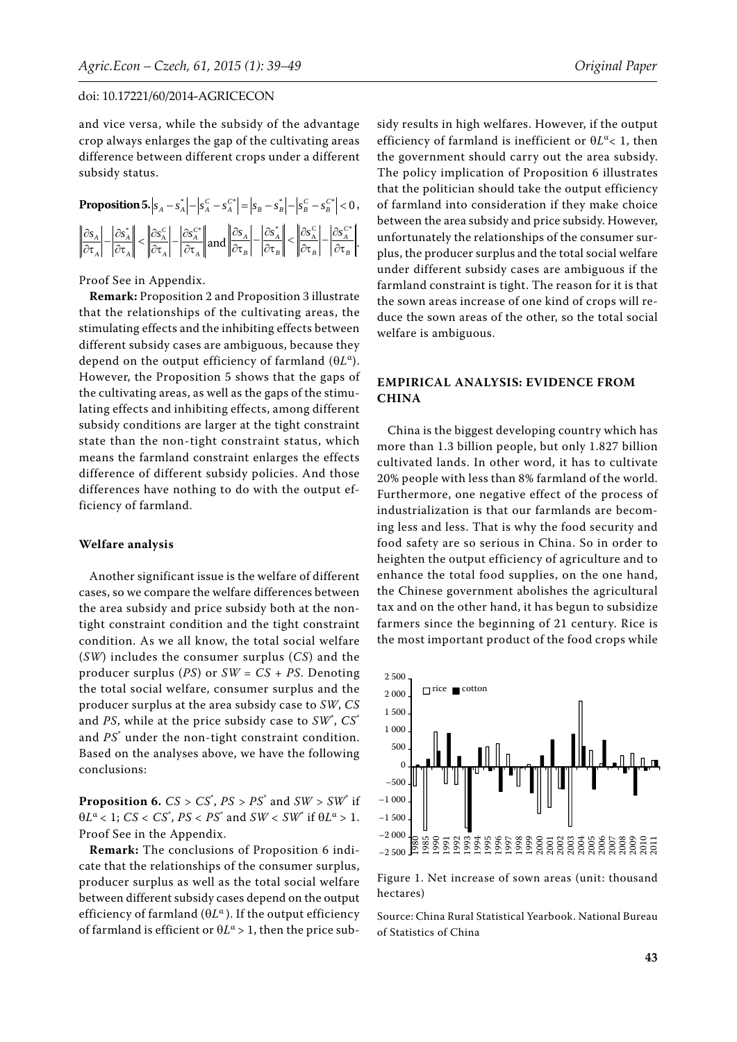and vice versa, while the subsidy of the advantage crop always enlarges the gap of the cultivating areas difference between different crops under a different subsidy status.

| <b>Proposition 5.</b> $ s_A - s_A^*  -  s_A^C - s_A^{c*}  =  s_B - s_B^*  -  s_B^C - s_B^{c*}  < 0$ ,                                                                                                                                                                                                                                                                                                                                                                                                                                                                                                                                                               |
|---------------------------------------------------------------------------------------------------------------------------------------------------------------------------------------------------------------------------------------------------------------------------------------------------------------------------------------------------------------------------------------------------------------------------------------------------------------------------------------------------------------------------------------------------------------------------------------------------------------------------------------------------------------------|
| $\left\ \frac{\partial s_{\scriptscriptstyle{A}}}{\partial \tau_{\scriptscriptstyle{A}}}\right -\left\ \frac{\partial s_{\scriptscriptstyle{A}}^*}{\partial \tau_{\scriptscriptstyle{A}}}\right\ <\left\ \frac{\partial s_{\scriptscriptstyle{A}}^{\scriptscriptstyle C}}{\partial \tau_{\scriptscriptstyle{A}}}\right -\left\ \frac{\partial s_{\scriptscriptstyle{A}}^{\scriptscriptstyle C*}}{\partial \tau_{\scriptscriptstyle{A}}}\right\  \text{ and } \left\ \frac{\partial s_{\scriptscriptstyle{A}}}{\partial \tau_{\scriptscriptstyle{B}}}\right -\left\ \frac{\partial s_{\scriptscriptstyle{A}}^*}{\partial \tau_{\scriptscriptstyle{B}}}\right <\left$ |

#### Proof See in Appendix.

**Remark:** Proposition 2 and Proposition 3 illustrate that the relationships of the cultivating areas, the stimulating effects and the inhibiting effects between different subsidy cases are ambiguous, because they depend on the output efficiency of farmland (*L*α). However, the Proposition 5 shows that the gaps of the cultivating areas, as well as the gaps of the stimulating effects and inhibiting effects, among different subsidy conditions are larger at the tight constraint state than the non-tight constraint status, which means the farmland constraint enlarges the effects difference of different subsidy policies. And those differences have nothing to do with the output efficiency of farmland.

#### **Welfare analysis**

Another significant issue is the welfare of different cases, so we compare the welfare differences between the area subsidy and price subsidy both at the nontight constraint condition and the tight constraint condition. As we all know, the total social welfare (*SW*) includes the consumer surplus (*CS*) and the producer surplus (*PS*) or *SW* = *CS* + *PS*. Denoting the total social welfare, consumer surplus and the producer surplus at the area subsidy case to *SW*, *CS* and *PS*, while at the price subsidy case to *SW*\* , *CS*\* and *PS*\* under the non-tight constraint condition. Based on the analyses above, we have the following conclusions:

**Proposition 6.**  $CS > CS^*$ ,  $PS > PS^*$  and  $SW > SW^*$  if  $\theta L^{\alpha}$  < 1; *CS* < *CS*<sup>\*</sup>, *PS* < *PS*<sup>\*</sup> and *SW* < *SW*<sup>\*</sup> if  $\theta L^{\alpha}$  > 1. Proof See in the Appendix.

**Remark:** The conclusions of Proposition 6 indicate that the relationships of the consumer surplus, producer surplus as well as the total social welfare between different subsidy cases depend on the output efficiency of farmland (*L*α ). If the output efficiency of farmland is efficient or  $\theta L^{\alpha} > 1$ , then the price sub-

sidy results in high welfares. However, if the output efficiency of farmland is inefficient or *L*α< 1, then the government should carry out the area subsidy. The policy implication of Proposition 6 illustrates that the politician should take the output efficiency of farmland into consideration if they make choice between the area subsidy and price subsidy. However, unfortunately the relationships of the consumer surplus, the producer surplus and the total social welfare under different subsidy cases are ambiguous if the farmland constraint is tight. The reason for it is that the sown areas increase of one kind of crops will reduce the sown areas of the other, so the total social welfare is ambiguous.

# **EMPIRICAL ANALYSIS: EVIDENCE FROM CHINA**

China is the biggest developing country which has more than 1.3 billion people, but only 1.827 billion cultivated lands. In other word, it has to cultivate 20% people with less than 8% farmland of the world. Furthermore, one negative effect of the process of industrialization is that our farmlands are becoming less and less. That is why the food security and food safety are so serious in China. So in order to heighten the output efficiency of agriculture and to enhance the total food supplies, on the one hand, the Chinese government abolishes the agricultural tax and on the other hand, it has begun to subsidize farmers since the beginning of 21 century. Rice is the most important product of the food crops while



Figure 1. Net increase of sown areas (unit: thousand hectares)

Source: China Rural Statistical Yearbook. National Bureau of Statistics of China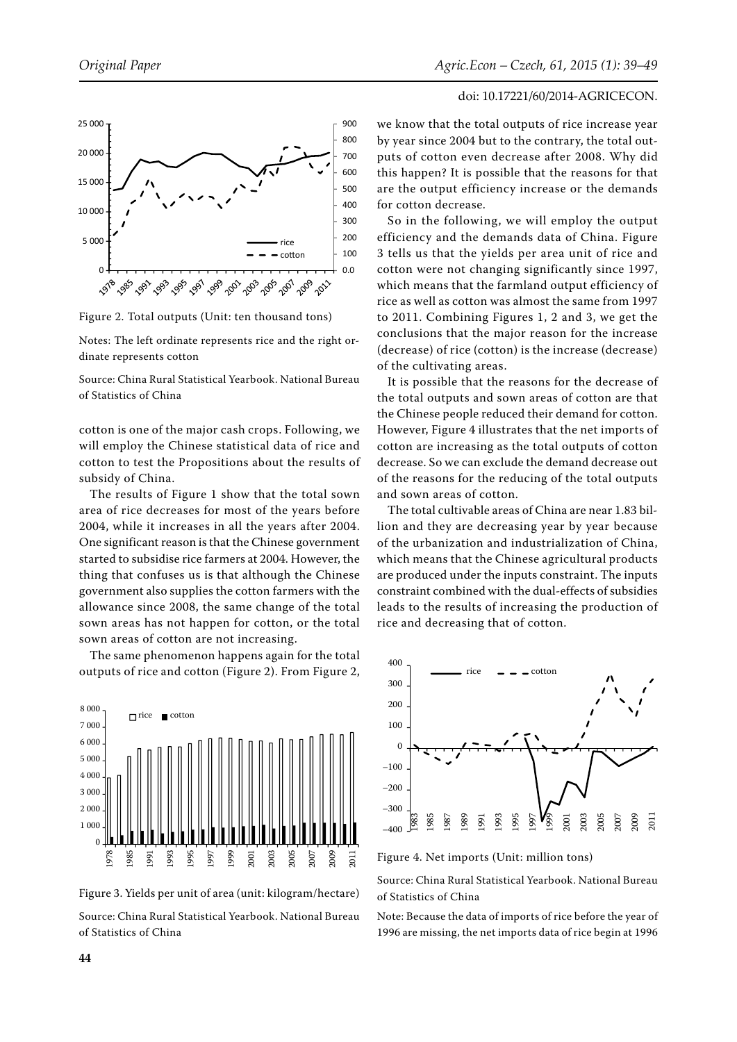

Figure 2. Total outputs (Unit: ten thousand tons)

Notes: The left ordinate represents rice and the right ordinate represents cotton

Source: China Rural Statistical Yearbook. National Bureau of Statistics of China

cotton is one of the major cash crops. Following, we will employ the Chinese statistical data of rice and cotton to test the Propositions about the results of subsidy of China.

The results of Figure 1 show that the total sown area of rice decreases for most of the years before 2004, while it increases in all the years after 2004. One significant reason is that the Chinese government started to subsidise rice farmers at 2004. However, the thing that confuses us is that although the Chinese government also supplies the cotton farmers with the allowance since 2008, the same change of the total sown areas has not happen for cotton, or the total sown areas of cotton are not increasing.

The same phenomenon happens again for the total outputs of rice and cotton (Figure 2). From Figure 2,



Figure 3. Yields per unit of area (unit: kilogram/hectare)

Source: China Rural Statistical Yearbook. National Bureau of Statistics of China

# doi: 10.17221/60/2014-AGRICECON.

we know that the total outputs of rice increase year by year since 2004 but to the contrary, the total outputs of cotton even decrease after 2008. Why did this happen? It is possible that the reasons for that are the output efficiency increase or the demands for cotton decrease.

So in the following, we will employ the output efficiency and the demands data of China. Figure 3 tells us that the yields per area unit of rice and cotton were not changing significantly since 1997, which means that the farmland output efficiency of rice as well as cotton was almost the same from 1997 to 2011. Combining Figures 1, 2 and 3, we get the conclusions that the major reason for the increase (decrease) of rice (cotton) is the increase (decrease) of the cultivating areas.

It is possible that the reasons for the decrease of the total outputs and sown areas of cotton are that the Chinese people reduced their demand for cotton. However, Figure 4 illustrates that the net imports of cotton are increasing as the total outputs of cotton decrease. So we can exclude the demand decrease out of the reasons for the reducing of the total outputs and sown areas of cotton.

The total cultivable areas of China are near 1.83 billion and they are decreasing year by year because of the urbanization and industrialization of China, which means that the Chinese agricultural products are produced under the inputs constraint. The inputs constraint combined with the dual-effects of subsidies leads to the results of increasing the production of rice and decreasing that of cotton.



Figure 4. Net imports (Unit: million tons)

Source: China Rural Statistical Yearbook. National Bureau of Statistics of China

Note: Because the data of imports of rice before the year of 1996 are missing, the net imports data of rice begin at 1996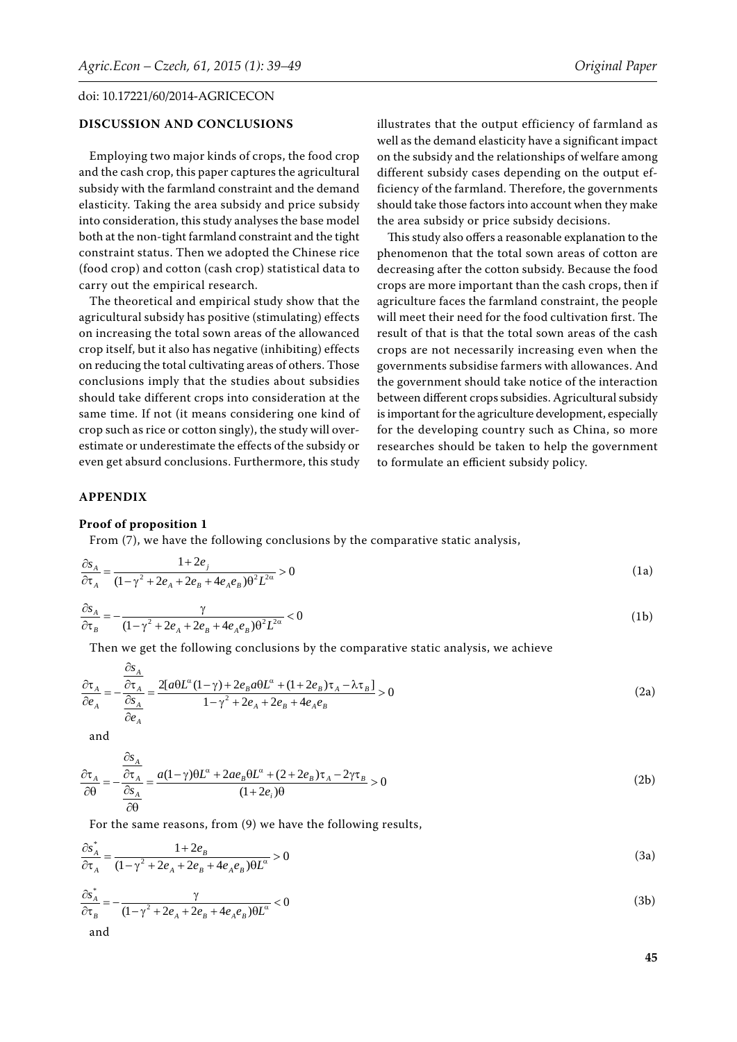# **DISCUSSION AND CONCLUSIONS**

Employing two major kinds of crops, the food crop and the cash crop, this paper captures the agricultural subsidy with the farmland constraint and the demand elasticity. Taking the area subsidy and price subsidy into consideration, this study analyses the base model both at the non-tight farmland constraint and the tight constraint status. Then we adopted the Chinese rice (food crop) and cotton (cash crop) statistical data to carry out the empirical research.

The theoretical and empirical study show that the agricultural subsidy has positive (stimulating) effects on increasing the total sown areas of the allowanced crop itself, but it also has negative (inhibiting) effects on reducing the total cultivating areas of others. Those conclusions imply that the studies about subsidies should take different crops into consideration at the same time. If not (it means considering one kind of crop such as rice or cotton singly), the study will overestimate or underestimate the effects of the subsidy or even get absurd conclusions. Furthermore, this study

illustrates that the output efficiency of farmland as well as the demand elasticity have a significant impact on the subsidy and the relationships of welfare among different subsidy cases depending on the output efficiency of the farmland. Therefore, the governments should take those factors into account when they make the area subsidy or price subsidy decisions.

This study also offers a reasonable explanation to the phenomenon that the total sown areas of cotton are decreasing after the cotton subsidy. Because the food crops are more important than the cash crops, then if agriculture faces the farmland constraint, the people will meet their need for the food cultivation first. The result of that is that the total sown areas of the cash crops are not necessarily increasing even when the governments subsidise farmers with allowances. And the government should take notice of the interaction between different crops subsidies. Agricultural subsidy is important for the agriculture development, especially for the developing country such as China, so more researches should be taken to help the government to formulate an efficient subsidy policy.

## **APPENDIX**

#### **Proof of proposition 1**

From (7), we have the following conclusions by the comparative static analysis,

$$
\frac{\partial s_A}{\partial \tau_A} = \frac{1 + 2e_j}{(1 - \gamma^2 + 2e_A + 2e_B + 4e_Ae_B)\theta^2 L^{2\alpha}} > 0
$$
\n(1a)

$$
\frac{\partial s_A}{\partial \tau_B} = -\frac{\gamma}{(1 - \gamma^2 + 2e_A + 2e_B + 4e_Ae_B)\theta^2 L^{2\alpha}} < 0
$$
\n(1b)

Then we get the following conclusions by the comparative static analysis, we achieve

$$
\frac{\partial \tau_A}{\partial e_A} = -\frac{\frac{\partial s_A}{\partial \tau_A}}{\frac{\partial s_A}{\partial e_A}} = \frac{2[a\theta L^{\alpha}(1-\gamma) + 2e_B a\theta L^{\alpha} + (1+2e_B)\tau_A - \lambda \tau_B]}{1-\gamma^2 + 2e_A + 2e_B + 4e_A e_B} > 0
$$
\n(2a)

and

$$
\frac{\partial \tau_A}{\partial \theta} = -\frac{\frac{\partial s_A}{\partial \tau_A}}{\frac{\partial s_A}{\partial \theta}} = \frac{a(1-\gamma)\theta L^{\alpha} + 2ae_B\theta L^{\alpha} + (2+2e_B)\tau_A - 2\gamma\tau_B}{(1+2e_i)\theta} > 0
$$
\n(2b)

For the same reasons, from (9) we have the following results,

$$
\frac{\partial s_A^*}{\partial \tau_A} = \frac{1 + 2e_B}{(1 - \gamma^2 + 2e_A + 2e_B + 4e_Ae_B)\theta L^{\alpha}} > 0
$$
\n(3a)

$$
\frac{\partial s_A^*}{\partial \tau_B} = -\frac{\gamma}{(1 - \gamma^2 + 2e_A + 2e_B + 4e_Ae_B)\theta L^{\alpha}} < 0
$$
\n(3b)

**45**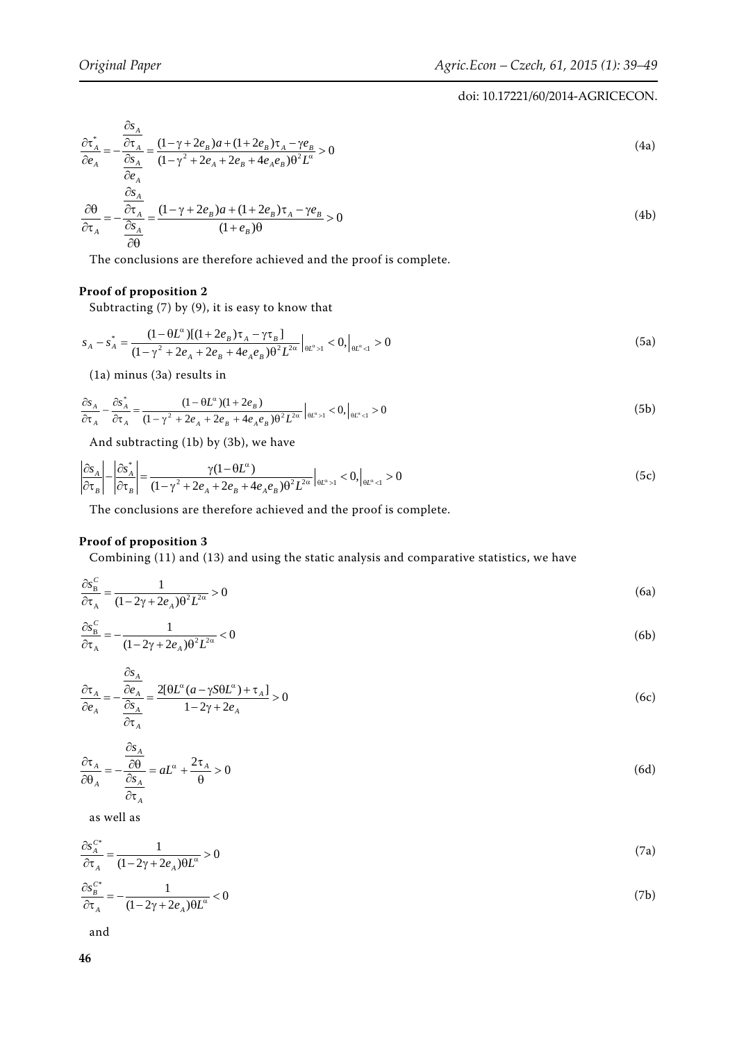$$
\frac{\partial \tau_A^*}{\partial e_A} = -\frac{\frac{\partial s_A}{\partial \tau_A}}{\frac{\partial s_A}{\partial e_A}} = \frac{(1 - \gamma + 2e_B)a + (1 + 2e_B)\tau_A - \gamma e_B}{(1 - \gamma^2 + 2e_A + 2e_B + 4e_Ae_B)\theta^2 L^{\alpha}} > 0
$$
\n
$$
\frac{\partial \theta}{\partial \tau_A} = -\frac{\frac{\partial s_A}{\partial \tau_A}}{\frac{\partial s_A}{\partial \tau_A}} = -\frac{(1 - \gamma + 2e_B)a + (1 + 2e_B)\tau_A - \gamma e_B}{(1 + e_B)\theta} > 0
$$
\n(4b)

$$
\frac{\partial \tau_A}{\partial \theta} - \frac{\partial s_A}{\partial \theta} - (1 + e_B) \theta
$$

The conclusions are therefore achieved and the proof is complete.

# **Proof of proposition 2**

Subtracting (7) by (9), it is easy to know that

$$
s_A - s_A^* = \frac{(1 - \theta L^{\alpha})[(1 + 2e_B)\tau_A - \gamma \tau_B]}{(1 - \gamma^2 + 2e_A + 2e_B + 4e_Ae_B)\theta^2 L^{2\alpha}}\Big|_{\theta L^{\alpha} > 1} < 0, \Big|_{\theta L^{\alpha} < 1} > 0
$$
\n(5a)

(1a) minus (3a) results in

$$
\frac{\partial s_A}{\partial \tau_A} - \frac{\partial s_A^*}{\partial \tau_A} = \frac{(1 - \theta L^{\alpha})(1 + 2e_B)}{(1 - \gamma^2 + 2e_A + 2e_B + 4e_Ae_B)\theta^2 L^{2\alpha}} \Big|_{\theta L^{\alpha} > 1} < 0, \Big|_{\theta L^{\alpha} < 1} > 0
$$
\n(5b)

And subtracting (1b) by (3b), we have

$$
\left|\frac{\partial s_A}{\partial \tau_B}\right| - \left|\frac{\partial s_A^*}{\partial \tau_B}\right| = \frac{\gamma (1 - \theta L^{\alpha})}{(1 - \gamma^2 + 2e_A + 2e_B + 4e_Ae_B)\theta^2 L^{2\alpha}}\Big|_{\theta L^{\alpha} > 1} < 0, \Big|_{\theta L^{\alpha} < 1} > 0\tag{5c}
$$

The conclusions are therefore achieved and the proof is complete.

# **Proof of proposition 3**

Combining (11) and (13) and using the static analysis and comparative statistics, we have

$$
\frac{\partial s_{\rm B}^{\rm C}}{\partial \tau_{\rm A}} = \frac{1}{(1 - 2\gamma + 2e_{\rm A})\theta^2 L^{2\alpha}} > 0
$$
\n(6a)

$$
\frac{\partial s_{\rm B}^{\rm C}}{\partial \tau_{\rm A}} = -\frac{1}{(1 - 2\gamma + 2e_{\rm A})\theta^2 L^{2\alpha}} < 0\tag{6b}
$$

$$
\frac{\partial \tau_A}{\partial e_A} = -\frac{\frac{\partial s_A}{\partial e_A}}{\frac{\partial s_A}{\partial \tau_A}} = \frac{2[\theta L^{\alpha} (a - \gamma S \theta L^{\alpha}) + \tau_A]}{1 - 2\gamma + 2e_A} > 0
$$
\n(6c)

$$
\frac{\partial \tau_A}{\partial \theta_A} = -\frac{\frac{\partial s_A}{\partial \theta}}{\frac{\partial s_A}{\partial \tau_A}} = aL^{\alpha} + \frac{2\tau_A}{\theta} > 0
$$
\n(6d)

as well as

 $\overline{a}$ 

$$
\frac{\partial s_A^{C^*}}{\partial \tau_A} = \frac{1}{(1 - 2\gamma + 2e_A)\theta L^{\alpha}} > 0
$$
\n(7a)

$$
\frac{\partial s_B^{C^*}}{\partial \tau_A} = -\frac{1}{(1 - 2\gamma + 2e_A)\theta L^{\alpha}} < 0\tag{7b}
$$

and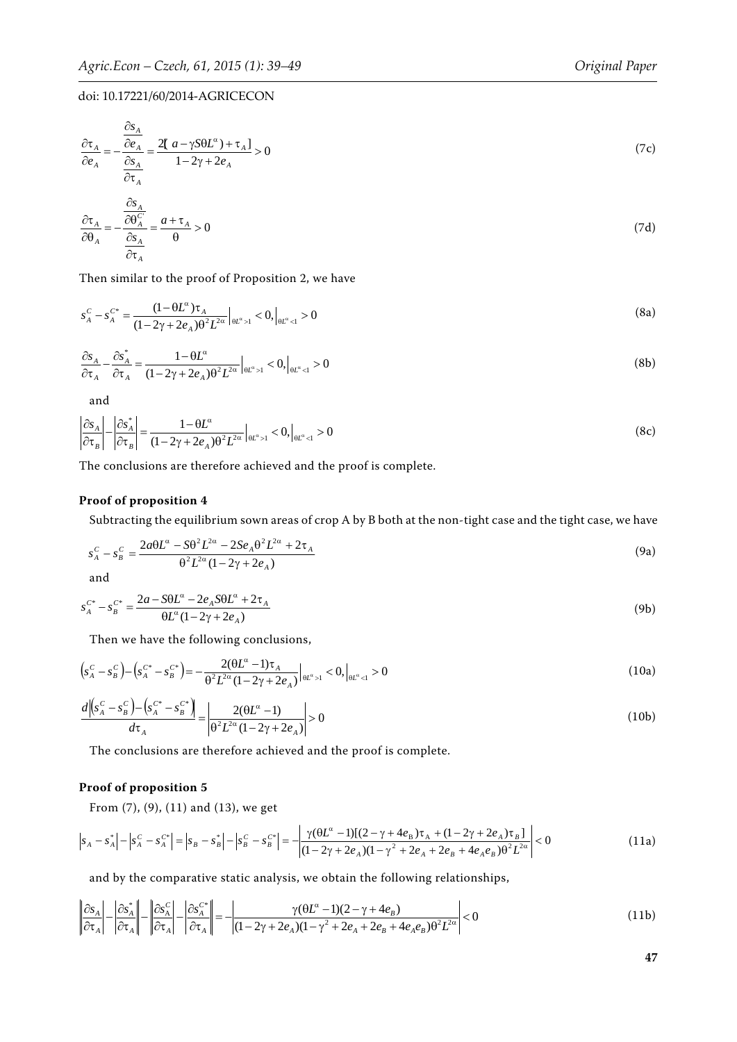$$
\frac{\partial \tau_A}{\partial e_A} = -\frac{\frac{\partial s_A}{\partial e_A}}{\frac{\partial s_A}{\partial \tau_A}} = \frac{2[a - \gamma S \theta L^{\alpha}) + \tau_A]}{1 - 2\gamma + 2e_A} > 0
$$
\n(7c)

$$
\frac{\partial \tau_A}{\partial \theta_A} = -\frac{\overline{\partial \theta_A^C}}{\frac{\partial s_A}{\partial \tau_A}} = \frac{a + \tau_A}{\theta} > 0
$$
\n(7d)

Then similar to the proof of Proposition 2, we have

$$
s_A^C - s_A^{C^*} = \frac{(1 - \theta L^{\alpha})\tau_A}{(1 - 2\gamma + 2e_A)\theta^2 L^{2\alpha}}\Big|_{\theta L^{\alpha} > 1} < 0, \Big|_{\theta L^{\alpha} < 1} > 0 \tag{8a}
$$

$$
\frac{\partial s_A}{\partial \tau_A} - \frac{\partial s_A^*}{\partial \tau_A} = \frac{1 - \theta L^{\alpha}}{(1 - 2\gamma + 2e_A)\theta^2 L^{2\alpha}} \Big|_{\theta L^{\alpha} > 1} < 0, \Big|_{\theta L^{\alpha} < 1} > 0 \tag{8b}
$$

and

$$
\left|\frac{\partial s_A}{\partial \tau_B}\right| - \left|\frac{\partial s_A^*}{\partial \tau_B}\right| = \frac{1 - \theta L^{\alpha}}{(1 - 2\gamma + 2e_A)\theta^2 L^{2\alpha}}\Big|_{\theta L^{\alpha} > 1} < 0, \Big|_{\theta L^{\alpha} < 1} > 0\tag{8c}
$$

The conclusions are therefore achieved and the proof is complete.

# **Proof of proposition 4**

Subtracting the equilibrium sown areas of crop A by B both at the non-tight case and the tight case, we have

$$
s_A^C - s_B^C = \frac{2a\theta L^\alpha - S\theta^2 L^{2\alpha} - 2Se_A\theta^2 L^{2\alpha} + 2\tau_A}{\theta^2 L^{2\alpha} (1 - 2\gamma + 2e_A)}
$$
(9a)

and

$$
s_A^{C^*} - s_B^{C^*} = \frac{2a - 5\theta L^{\alpha} - 2e_A 5\theta L^{\alpha} + 2\tau_A}{\theta L^{\alpha} (1 - 2\gamma + 2e_A)}
$$
(9b)

Then we have the following conclusions,

$$
\left(s_A^C - s_B^C\right) - \left(s_A^{C^*} - s_B^{C^*}\right) = -\frac{2(\theta L^{\alpha} - 1)\tau_A}{\theta^2 L^{2\alpha} (1 - 2\gamma + 2e_A)}\Big|_{\theta L^{\alpha} > 1} < 0, \Big|_{\theta L^{\alpha} < 1} > 0\tag{10a}
$$

$$
\frac{d\left| \left( s_A^C - s_B^C \right) - \left( s_A^{C^*} - s_B^{C^*} \right) \right|}{d\tau_A} = \left| \frac{2(\theta L^{\alpha} - 1)}{\theta^2 L^{2\alpha} (1 - 2\gamma + 2e_A)} \right| > 0
$$
\n(10b)

The conclusions are therefore achieved and the proof is complete.

# **Proof of proposition 5**

From (7), (9), (11) and (13), we get

$$
\left| s_A - s_A^* \right| - \left| s_A^c - s_A^{c*} \right| = \left| s_B - s_B^* \right| - \left| s_B^c - s_B^{c*} \right| = - \left| \frac{\gamma (\theta L^{\alpha} - 1)[(2 - \gamma + 4e_B)\tau_A + (1 - 2\gamma + 2e_A)\tau_B]}{(1 - 2\gamma + 2e_A)(1 - \gamma^2 + 2e_A + 2e_B + 4e_Ae_B)\theta^2 L^{2\alpha}} \right| < 0
$$
\n(11a)

and by the comparative static analysis, we obtain the following relationships,

$$
\left\| \frac{\partial s_A}{\partial \tau_A} \right\| - \left\| \frac{\partial s_A^*}{\partial \tau_A} \right\| - \left\| \frac{\partial s_A^C}{\partial \tau_A} \right\| = \left\| \frac{\gamma (\theta L^{\alpha} - 1)(2 - \gamma + 4e_B)}{(1 - 2\gamma + 2e_A)(1 - \gamma^2 + 2e_A + 2e_B + 4e_Ae_B)\theta^2 L^{2\alpha}} \right| < 0
$$
\n(11b)

**47**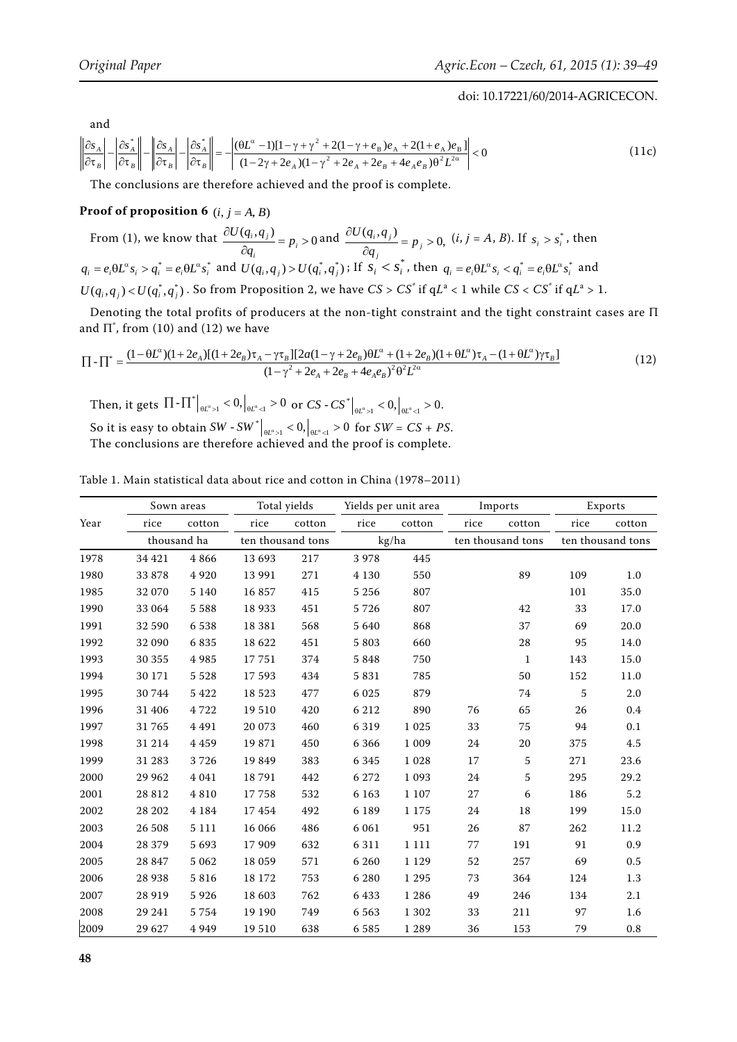and

$$
\left\| \frac{\partial s_A}{\partial \tau_B} \right\| - \left| \frac{\partial s_A^*}{\partial \tau_B} \right\| - \left| \frac{\partial s_A}{\partial \tau_B} \right\| = \left| \frac{(\theta L^{\alpha} - 1)[1 - \gamma + \gamma^2 + 2(1 - \gamma + e_B)e_A + 2(1 + e_A)e_B]}{(1 - 2\gamma + 2e_A)(1 - \gamma^2 + 2e_A + 2e_B + 4e_Ae_B)\theta^2 L^{2\alpha}} \right| < 0
$$
\n(11c)

The conclusions are therefore achieved and the proof is complete.

# **Proof of proposition 6**  $(i, j = A, B)$

From (1), we know that  $\frac{\partial U(q_i, q_j)}{\partial q_i} = p_i > 0$  $\partial$  $\frac{1}{i}$  –  $P_i$  $\frac{\partial U(q_i, q_j)}{\partial q_i} = p_i > 0$  and  $\frac{\partial U(q_i, q_j)}{\partial q_i} = p_j > 0$ ,  $\hat{o}$  $\frac{\partial}{\partial y}$   $\frac{\partial}{\partial y}$  $\frac{q_i, q_j}{q_i} = p$  $\frac{U(q_i, q_j)}{q} = p_i > 0$ ,  $(i, j = A, B)$ . If  $s_i > s_i^*$ , then  $q_i = e_i \theta L^{\alpha} s_i > q_i^* = e_i \theta L^{\alpha} s_i^*$  and  $U(q_i, q_j) > U(q_i^*, q_j^*)$ ; If  $s_i < s_i^*$ , then  $q_i = e_i \theta L^{\alpha} s_i < q_i^* = e_i \theta L^{\alpha} s_i^*$  and  $U(q_i,q_j)$  <  $U(q_i^*,q_j^*)$ . So from Proposition 2, we have  $CS > CS^*$  if  $qL^a < 1$  while  $CS < CS^*$  if  $qL^a > 1$ .

Denoting the total profits of producers at the non-tight constraint and the tight constraint cases are Π and  $\Pi^*$ , from (10) and (12) we have

$$
\Pi - \Pi^* = \frac{(1 - \theta L^{\alpha})(1 + 2e_A)[(1 + 2e_B)\tau_A - \gamma \tau_B][2a(1 - \gamma + 2e_B)\theta L^{\alpha} + (1 + 2e_B)(1 + \theta L^{\alpha})\tau_A - (1 + \theta L^{\alpha})\gamma \tau_B]}{(1 - \gamma^2 + 2e_A + 2e_B + 4e_Ae_B)^2 \theta^2 L^{2\alpha}}
$$
\n(12)

Then, it gets  $\left.\Pi\text{-}\Pi^*\right|_{\theta L^\alpha>1}<0,\left|_{\theta L^\alpha<1}>0\right.$  or  $CS$  -  $CS^*\right|_{\theta L^\alpha>1}<0,\left|_{\theta L^\alpha<1}>0\right.$ So it is easy to obtain SW - SW  $^*|_{\theta L^{a} > 1} < 0, |_{\theta L^{a} < 1} > 0$  for SW = CS + PS. The conclusions are therefore achieved and the proof is complete.

Table 1. Main statistical data about rice and cotton in China (1978–2011)

|      |         | Sown areas  |         | Total yields      |         | Yields per unit area |      | Imports           |      | Exports           |  |
|------|---------|-------------|---------|-------------------|---------|----------------------|------|-------------------|------|-------------------|--|
| Year | rice    | cotton      | rice    | cotton            | rice    | cotton               | rice | cotton            | rice | cotton            |  |
|      |         | thousand ha |         | ten thousand tons |         | kg/ha                |      | ten thousand tons |      | ten thousand tons |  |
| 1978 | 34 421  | 4866        | 13 693  | 217               | 3978    | 445                  |      |                   |      |                   |  |
| 1980 | 33 878  | 4 9 2 0     | 13 991  | 271               | 4 1 3 0 | 550                  |      | 89                | 109  | 1.0               |  |
| 1985 | 32 070  | 5 1 4 0     | 16 857  | 415               | 5 2 5 6 | 807                  |      |                   | 101  | 35.0              |  |
| 1990 | 33 064  | 5 5 8 8     | 18 9 33 | 451               | 5726    | 807                  |      | 42                | 33   | 17.0              |  |
| 1991 | 32 590  | 6538        | 18 381  | 568               | 5 6 4 0 | 868                  |      | 37                | 69   | 20.0              |  |
| 1992 | 32 090  | 6835        | 18 622  | 451               | 5 8 0 3 | 660                  |      | 28                | 95   | 14.0              |  |
| 1993 | 30 355  | 4985        | 17751   | 374               | 5848    | 750                  |      | $\mathbf{1}$      | 143  | 15.0              |  |
| 1994 | 30 171  | 5 5 2 8     | 17593   | 434               | 5831    | 785                  |      | 50                | 152  | $11.0\,$          |  |
| 1995 | 30 744  | 5 4 2 2     | 18 5 23 | 477               | 6 0 2 5 | 879                  |      | 74                | 5    | 2.0               |  |
| 1996 | 31 40 6 | 4722        | 19 510  | 420               | 6 2 1 2 | 890                  | 76   | 65                | 26   | 0.4               |  |
| 1997 | 31765   | 4 4 9 1     | 20 073  | 460               | 6 3 1 9 | 1 0 2 5              | 33   | 75                | 94   | 0.1               |  |
| 1998 | 31 214  | 4 4 5 9     | 19871   | 450               | 6 3 6 6 | 1 0 0 9              | 24   | 20                | 375  | $4.5\,$           |  |
| 1999 | 31 283  | 3726        | 19 849  | 383               | 6 3 4 5 | 1 0 2 8              | 17   | 5                 | 271  | 23.6              |  |
| 2000 | 29 962  | 4 0 4 1     | 18791   | 442               | 6 272   | 1 0 9 3              | 24   | 5                 | 295  | 29.2              |  |
| 2001 | 28 812  | 4810        | 17758   | 532               | 6 1 6 3 | 1 1 0 7              | 27   | 6                 | 186  | 5.2               |  |
| 2002 | 28 202  | 4 1 8 4     | 17454   | 492               | 6 1 8 9 | 1 1 7 5              | 24   | 18                | 199  | 15.0              |  |
| 2003 | 26 508  | 5 1 1 1     | 16 066  | 486               | 6 0 6 1 | 951                  | 26   | 87                | 262  | 11.2              |  |
| 2004 | 28 379  | 5 6 9 3     | 17 909  | 632               | 6 3 1 1 | 1 1 1 1              | 77   | 191               | 91   | 0.9               |  |
| 2005 | 28 847  | 5 0 6 2     | 18 059  | 571               | 6 2 6 0 | 1 1 2 9              | 52   | 257               | 69   | 0.5               |  |
| 2006 | 28 9 38 | 5816        | 18 172  | 753               | 6 2 8 0 | 1 2 9 5              | 73   | 364               | 124  | $1.3\,$           |  |
| 2007 | 28 9 19 | 5926        | 18 603  | 762               | 6 4 3 3 | 1 2 8 6              | 49   | 246               | 134  | $2.1\,$           |  |
| 2008 | 29 241  | 5 7 5 4     | 19 19 0 | 749               | 6 5 6 3 | 1 3 0 2              | 33   | 211               | 97   | 1.6               |  |
| 2009 | 29 627  | 4 9 4 9     | 19510   | 638               | 6 5 8 5 | 1 2 8 9              | 36   | 153               | 79   | 0.8               |  |